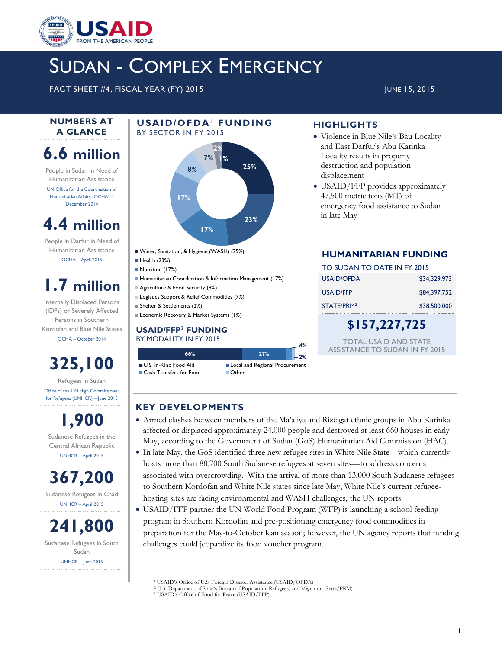

# SUDAN - COMPLEX EMERGENCY

FACT SHEET #4, FISCAL YEAR (FY) 2015 JUNE 15, 2015 JUNE 15, 2015

#### **NUMBERS AT A GLANCE**

## **6.6 million**

People in Sudan in Need of Humanitarian Assistance UN Office for the Coordination of

Humanitarian Affairs (OCHA) – December 2014

### **4.4 million**

People in Darfur in Need of Humanitarian Assistance OCHA – April 2015

## **1.7 million**

Internally Displaced Persons (IDPs) or Severely Affected Persons in Southern Kordofan and Blue Nile States OCHA – October 2014

# **325,100**

Refugees in Sudan Office of the UN High Commissioner for Refugees (UNHCR) – June 2015

**1,900** Sudanese Refugees in the Central African Republic UNHCR – April 2015

**367,200** Sudanese Refugees in Chad UNHCR – April 2015

**241,800** Sudanese Refugees in South Sudan UNHCR – June 2015

#### **U S A I D / O F D A<sup>1</sup> F U N D I N G**  BY SECTOR IN FY 2015



Water, Sanitation, & Hygiene (WASH) (25%)

Health (23%)

- Nutrition (17%)
- Humanitarian Coordination & Information Management (17%)
- **Agriculture & Food Security (8%)**
- **Logistics Support & Relief Commodities (7%)** Shelter & Settlements (2%)
- **Economic Recovery & Market Systems (1%)**

#### **USAID/FFP<sup>3</sup> FUNDING** BY MODALITY IN FY 2015

**66% 27%** U.S. In-Kind Food Aid Local and Regional Procurement ■ Cash Transfers for Food ■ Other

#### Locality results in property destruction and population displacement USAID/FFP provides approximately 47,500 metric tons (MT) of

**HIGHLIGHTS**

emergency food assistance to Sudan in late May

 Violence in Blue Nile's Bau Locality and East Darfur's Abu Karinka

#### **HUMANITARIAN FUNDING**

| TO SUDAN TO DATE IN FY 2015 |              |  |
|-----------------------------|--------------|--|
| <b>USAID/OFDA</b>           | \$34,329,973 |  |
| USAID/FFP                   | \$84,397,752 |  |
| STATE/PRM <sup>2</sup>      | \$38,500,000 |  |

### **\$157,227,725**

TOTAL USAID AND STATE ASSISTANCE TO SUDAN IN FY 2015

#### **KEY DEVELOPMENTS**

 Armed clashes between members of the Ma'aliya and Rizeigat ethnic groups in Abu Karinka affected or displaced approximately 24,000 people and destroyed at least 660 houses in early May, according to the Government of Sudan (GoS) Humanitarian Aid Commission (HAC).

**4% 2%**

- In late May, the GoS identified three new refugee sites in White Nile State—which currently hosts more than 88,700 South Sudanese refugees at seven sites—to address concerns associated with overcrowding. With the arrival of more than 13,000 South Sudanese refugees to Southern Kordofan and White Nile states since late May, White Nile's current refugeehosting sites are facing environmental and WASH challenges, the UN reports.
- USAID/FFP partner the UN World Food Program (WFP) is launching a school feeding program in Southern Kordofan and pre-positioning emergency food commodities in preparation for the May-to-October lean season; however, the UN agency reports that funding challenges could jeopardize its food voucher program.

<sup>1</sup>USAID's Office of U.S. Foreign Disaster Assistance (USAID/OFDA)

<sup>2</sup> U.S. Department of State's Bureau of Population, Refugees, and Migration (State/PRM)

<sup>3</sup> USAID's Office of Food for Peace (USAID/FFP)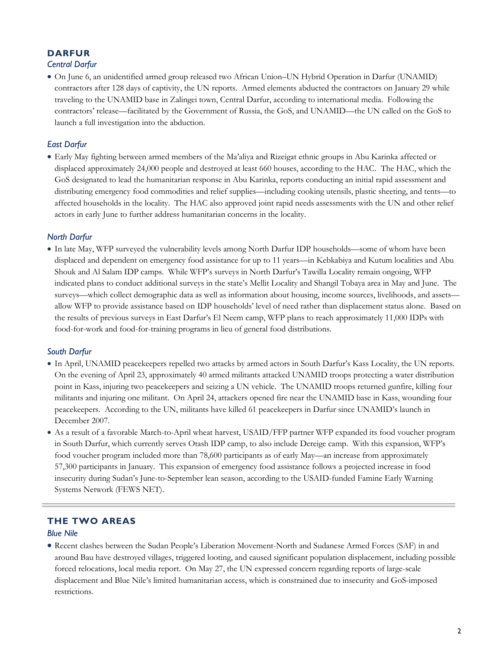#### **DARFUR**

#### *Central Darfur*

 On June 6, an unidentified armed group released two African Union–UN Hybrid Operation in Darfur (UNAMID) contractors after 128 days of captivity, the UN reports. Armed elements abducted the contractors on January 29 while traveling to the UNAMID base in Zalingei town, Central Darfur, according to international media. Following the contractors' release—facilitated by the Government of Russia, the GoS, and UNAMID—the UN called on the GoS to launch a full investigation into the abduction.

#### *East Darfur*

 Early May fighting between armed members of the Ma'aliya and Rizeigat ethnic groups in Abu Karinka affected or displaced approximately 24,000 people and destroyed at least 660 houses, according to the HAC. The HAC, which the GoS designated to lead the humanitarian response in Abu Karinka, reports conducting an initial rapid assessment and distributing emergency food commodities and relief supplies—including cooking utensils, plastic sheeting, and tents—to affected households in the locality. The HAC also approved joint rapid needs assessments with the UN and other relief actors in early June to further address humanitarian concerns in the locality.

#### *North Darfur*

 In late May, WFP surveyed the vulnerability levels among North Darfur IDP households—some of whom have been displaced and dependent on emergency food assistance for up to 11 years—in Kebkabiya and Kutum localities and Abu Shouk and Al Salam IDP camps. While WFP's surveys in North Darfur's Tawilla Locality remain ongoing, WFP indicated plans to conduct additional surveys in the state's Mellit Locality and Shangil Tobaya area in May and June. The surveys—which collect demographic data as well as information about housing, income sources, livelihoods, and assets allow WFP to provide assistance based on IDP households' level of need rather than displacement status alone. Based on the results of previous surveys in East Darfur's El Neem camp, WFP plans to reach approximately 11,000 IDPs with food-for-work and food-for-training programs in lieu of general food distributions.

#### *South Darfur*

- In April, UNAMID peacekeepers repelled two attacks by armed actors in South Darfur's Kass Locality, the UN reports. On the evening of April 23, approximately 40 armed militants attacked UNAMID troops protecting a water distribution point in Kass, injuring two peacekeepers and seizing a UN vehicle. The UNAMID troops returned gunfire, killing four militants and injuring one militant. On April 24, attackers opened fire near the UNAMID base in Kass, wounding four peacekeepers. According to the UN, militants have killed 61 peacekeepers in Darfur since UNAMID's launch in December 2007.
- As a result of a favorable March-to-April wheat harvest, USAID/FFP partner WFP expanded its food voucher program in South Darfur, which currently serves Otash IDP camp, to also include Dereige camp. With this expansion, WFP's food voucher program included more than 78,600 participants as of early May—an increase from approximately 57,300 participants in January. This expansion of emergency food assistance follows a projected increase in food insecurity during Sudan's June-to-September lean season, according to the USAID-funded Famine Early Warning Systems Network (FEWS NET).

#### **THE TWO AREAS**

#### *Blue Nile*

 Recent clashes between the Sudan People's Liberation Movement-North and Sudanese Armed Forces (SAF) in and around Bau have destroyed villages, triggered looting, and caused significant population displacement, including possible forced relocations, local media report. On May 27, the UN expressed concern regarding reports of large-scale displacement and Blue Nile's limited humanitarian access, which is constrained due to insecurity and GoS-imposed restrictions.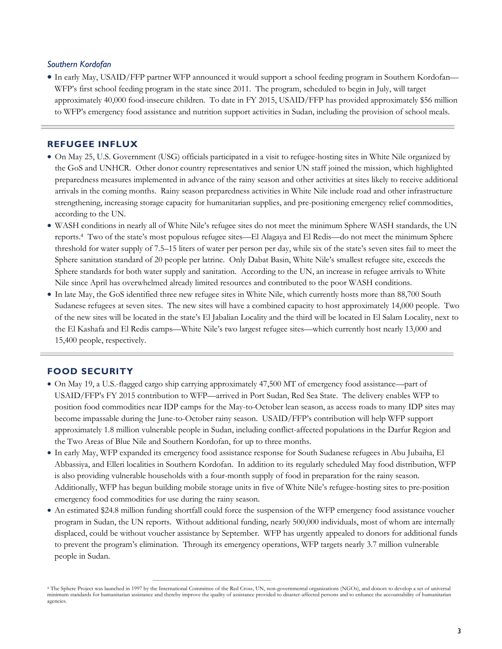#### *Southern Kordofan*

 In early May, USAID/FFP partner WFP announced it would support a school feeding program in Southern Kordofan— WFP's first school feeding program in the state since 2011. The program, scheduled to begin in July, will target approximately 40,000 food-insecure children. To date in FY 2015, USAID/FFP has provided approximately \$56 million to WFP's emergency food assistance and nutrition support activities in Sudan, including the provision of school meals.

#### **REFUGEE INFLUX**

- On May 25, U.S. Government (USG) officials participated in a visit to refugee-hosting sites in White Nile organized by the GoS and UNHCR. Other donor country representatives and senior UN staff joined the mission, which highlighted preparedness measures implemented in advance of the rainy season and other activities at sites likely to receive additional arrivals in the coming months. Rainy season preparedness activities in White Nile include road and other infrastructure strengthening, increasing storage capacity for humanitarian supplies, and pre-positioning emergency relief commodities, according to the UN.
- WASH conditions in nearly all of White Nile's refugee sites do not meet the minimum Sphere WASH standards, the UN reports.<sup>4</sup> Two of the state's most populous refugee sites—El Alagaya and El Redis—do not meet the minimum Sphere threshold for water supply of 7.5–15 liters of water per person per day, while six of the state's seven sites fail to meet the Sphere sanitation standard of 20 people per latrine. Only Dabat Basin, White Nile's smallest refugee site, exceeds the Sphere standards for both water supply and sanitation. According to the UN, an increase in refugee arrivals to White Nile since April has overwhelmed already limited resources and contributed to the poor WASH conditions.
- In late May, the GoS identified three new refugee sites in White Nile, which currently hosts more than 88,700 South Sudanese refugees at seven sites. The new sites will have a combined capacity to host approximately 14,000 people. Two of the new sites will be located in the state's El Jabalian Locality and the third will be located in El Salam Locality, next to the El Kashafa and El Redis camps—White Nile's two largest refugee sites—which currently host nearly 13,000 and 15,400 people, respectively.

#### **FOOD SECURITY**

- On May 19, a U.S.-flagged cargo ship carrying approximately 47,500 MT of emergency food assistance—part of USAID/FFP's FY 2015 contribution to WFP—arrived in Port Sudan, Red Sea State. The delivery enables WFP to position food commodities near IDP camps for the May-to-October lean season, as access roads to many IDP sites may become impassable during the June-to-October rainy season. USAID/FFP's contribution will help WFP support approximately 1.8 million vulnerable people in Sudan, including conflict-affected populations in the Darfur Region and the Two Areas of Blue Nile and Southern Kordofan, for up to three months.
- In early May, WFP expanded its emergency food assistance response for South Sudanese refugees in Abu Jubaiha, El Abbassiya, and Elleri localities in Southern Kordofan. In addition to its regularly scheduled May food distribution, WFP is also providing vulnerable households with a four-month supply of food in preparation for the rainy season. Additionally, WFP has begun building mobile storage units in five of White Nile's refugee-hosting sites to pre-position emergency food commodities for use during the rainy season.
- An estimated \$24.8 million funding shortfall could force the suspension of the WFP emergency food assistance voucher program in Sudan, the UN reports. Without additional funding, nearly 500,000 individuals, most of whom are internally displaced, could be without voucher assistance by September. WFP has urgently appealed to donors for additional funds to prevent the program's elimination. Through its emergency operations, WFP targets nearly 3.7 million vulnerable people in Sudan.

<sup>4</sup> The Sphere Project was launched in 1997 by the International Committee of the Red Cross, UN, non-governmental organizations (NGOs), and donors to develop a set of universal minimum standards for humanitarian assistance and thereby improve the quality of assistance provided to disaster-affected persons and to enhance the accountability of humanitarian agencies.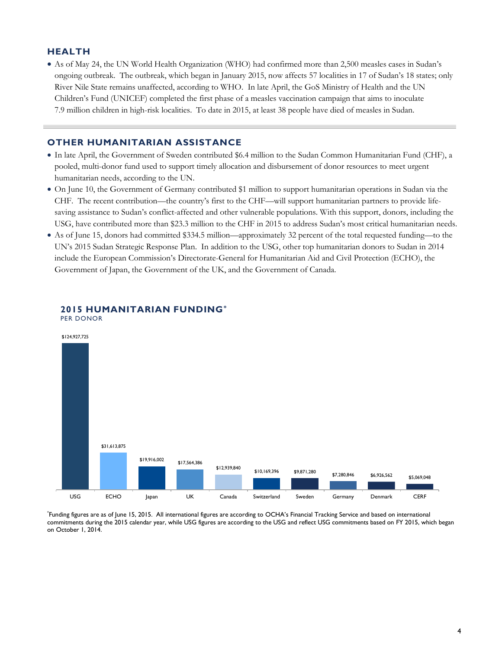#### **HEALTH**

 As of May 24, the UN World Health Organization (WHO) had confirmed more than 2,500 measles cases in Sudan's ongoing outbreak. The outbreak, which began in January 2015, now affects 57 localities in 17 of Sudan's 18 states; only River Nile State remains unaffected, according to WHO. In late April, the GoS Ministry of Health and the UN Children's Fund (UNICEF) completed the first phase of a measles vaccination campaign that aims to inoculate 7.9 million children in high-risk localities. To date in 2015, at least 38 people have died of measles in Sudan.

#### **OTHER HUMANITARIAN ASSISTANCE**

- In late April, the Government of Sweden contributed \$6.4 million to the Sudan Common Humanitarian Fund (CHF), a pooled, multi-donor fund used to support timely allocation and disbursement of donor resources to meet urgent humanitarian needs, according to the UN.
- On June 10, the Government of Germany contributed \$1 million to support humanitarian operations in Sudan via the CHF. The recent contribution—the country's first to the CHF—will support humanitarian partners to provide lifesaving assistance to Sudan's conflict-affected and other vulnerable populations. With this support, donors, including the USG, have contributed more than \$23.3 million to the CHF in 2015 to address Sudan's most critical humanitarian needs.
- As of June 15, donors had committed \$334.5 million—approximately 32 percent of the total requested funding—to the UN's 2015 Sudan Strategic Response Plan. In addition to the USG, other top humanitarian donors to Sudan in 2014 include the European Commission's Directorate-General for Humanitarian Aid and Civil Protection (ECHO), the Government of Japan, the Government of the UK, and the Government of Canada.



#### **2015 HUMANITARIAN FUNDING\*** PER DONOR

\* Funding figures are as of June 15, 2015. All international figures are according to OCHA's Financial Tracking Service and based on international commitments during the 2015 calendar year, while USG figures are according to the USG and reflect USG commitments based on FY 2015, which began on October 1, 2014.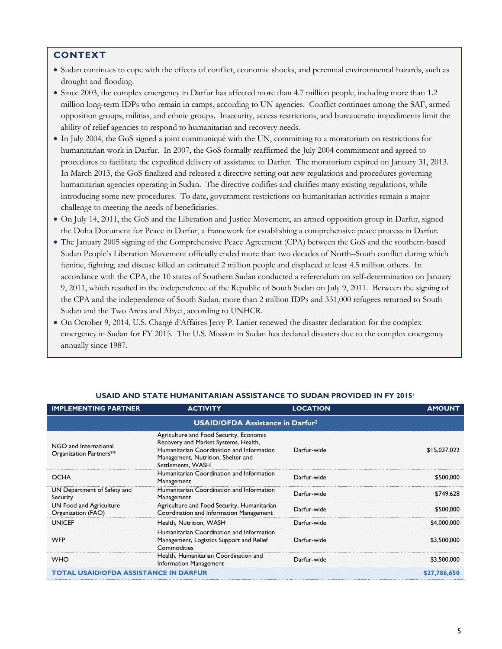#### **CONTEXT**

- Sudan continues to cope with the effects of conflict, economic shocks, and perennial environmental hazards, such as drought and flooding.
- Since 2003, the complex emergency in Darfur has affected more than 4.7 million people, including more than 1.2 million long-term IDPs who remain in camps, according to UN agencies. Conflict continues among the SAF, armed opposition groups, militias, and ethnic groups. Insecurity, access restrictions, and bureaucratic impediments limit the ability of relief agencies to respond to humanitarian and recovery needs.
- In July 2004, the GoS signed a joint communiqué with the UN, committing to a moratorium on restrictions for humanitarian work in Darfur. In 2007, the GoS formally reaffirmed the July 2004 commitment and agreed to procedures to facilitate the expedited delivery of assistance to Darfur. The moratorium expired on January 31, 2013. In March 2013, the GoS finalized and released a directive setting out new regulations and procedures governing humanitarian agencies operating in Sudan. The directive codifies and clarifies many existing regulations, while introducing some new procedures. To date, government restrictions on humanitarian activities remain a major challenge to meeting the needs of beneficiaries.
- On July 14, 2011, the GoS and the Liberation and Justice Movement, an armed opposition group in Darfur, signed the Doha Document for Peace in Darfur, a framework for establishing a comprehensive peace process in Darfur.
- The January 2005 signing of the Comprehensive Peace Agreement (CPA) between the GoS and the southern-based Sudan People's Liberation Movement officially ended more than two decades of North–South conflict during which famine, fighting, and disease killed an estimated 2 million people and displaced at least 4.5 million others. In accordance with the CPA, the 10 states of Southern Sudan conducted a referendum on self-determination on January 9, 2011, which resulted in the independence of the Republic of South Sudan on July 9, 2011. Between the signing of the CPA and the independence of South Sudan, more than 2 million IDPs and 331,000 refugees returned to South Sudan and the Two Areas and Abyei, according to UNHCR.
- On October 9, 2014, U.S. Chargé d'Affaires Jerry P. Lanier renewed the disaster declaration for the complex emergency in Sudan for FY 2015. The U.S. Mission in Sudan has declared disasters due to the complex emergency annually since 1987.

| <b>IMPLEMENTING PARTNER</b>                      | <b>ACTIVITY</b>                                                                                                                                                                         | <b>LOCATION</b> | <b>AMOUNT</b> |  |
|--------------------------------------------------|-----------------------------------------------------------------------------------------------------------------------------------------------------------------------------------------|-----------------|---------------|--|
|                                                  | <b>USAID/OFDA Assistance in Darfur<sup>2</sup></b>                                                                                                                                      |                 |               |  |
| NGO and International<br>Organization Partners** | Agriculture and Food Security, Economic<br>Recovery and Market Systems, Health,<br>Humanitarian Coordination and Information<br>Management, Nutrition, Shelter and<br>Settlements, WASH | Darfur-wide     | \$15,037,022  |  |
| <b>OCHA</b>                                      | Humanitarian Coordination and Information<br>Management                                                                                                                                 | Darfur-wide     | \$500,000     |  |
| UN Department of Safety and<br>Security          | Humanitarian Coordination and Information<br>Management                                                                                                                                 | Darfur-wide     | \$749,628     |  |
| UN Food and Agriculture<br>Organization (FAO)    | Agriculture and Food Security, Humanitarian<br>Coordination and Information Management                                                                                                  | Darfur-wide     | \$500,000     |  |
| <b>UNICEF</b>                                    | Health, Nutrition, WASH                                                                                                                                                                 | Darfur-wide     | \$4,000,000   |  |
| <b>WFP</b>                                       | Humanitarian Coordination and Information<br>Management, Logistics Support and Relief<br>Commodities                                                                                    | Darfur-wide     | \$3,500,000   |  |
| <b>WHO</b>                                       | Health, Humanitarian Coordination and<br>Information Management                                                                                                                         | Darfur-wide     | \$3,500,000   |  |
| <b>TOTAL USAID/OFDA ASSISTANCE IN DARFUR</b>     |                                                                                                                                                                                         |                 | \$27,786,650  |  |

#### **USAID AND STATE HUMANITARIAN ASSISTANCE TO SUDAN PROVIDED IN FY 2015<sup>1</sup>**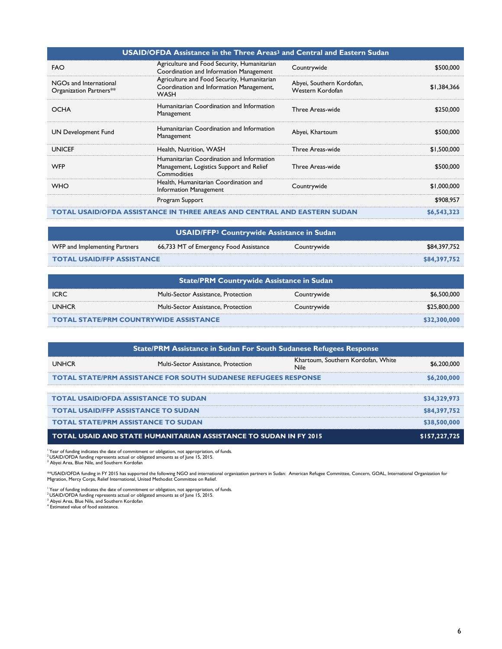| <b>USAID/OFDA Assistance in the Three Areas<sup>3</sup> and Central and Eastern Sudan</b> |                                                                                                        |                                               |             |
|-------------------------------------------------------------------------------------------|--------------------------------------------------------------------------------------------------------|-----------------------------------------------|-------------|
| <b>FAO</b>                                                                                | Agriculture and Food Security, Humanitarian<br>Coordination and Information Management                 | Countrywide                                   | \$500,000   |
| NGOs and International<br>Organization Partners**                                         | Agriculture and Food Security, Humanitarian<br>Coordination and Information Management,<br><b>WASH</b> | Abyei, Southern Kordofan,<br>Western Kordofan | \$1,384,366 |
| <b>OCHA</b>                                                                               | Humanitarian Coordination and Information<br>Management                                                | Three Areas-wide                              | \$250,000   |
| UN Development Fund                                                                       | Humanitarian Coordination and Information<br>Management                                                | Abyei, Khartoum                               | \$500,000   |
| <b>UNICEF</b>                                                                             | Health, Nutrition, WASH                                                                                | Three Areas-wide                              | \$1,500,000 |
| <b>WFP</b>                                                                                | Humanitarian Coordination and Information<br>Management, Logistics Support and Relief<br>Commodities   | Three Areas-wide                              | \$500,000   |
| <b>WHO</b>                                                                                | Health, Humanitarian Coordination and<br>Information Management                                        | Countrywide                                   | \$1,000,000 |
|                                                                                           | Program Support                                                                                        |                                               | \$908,957   |
| TOTAL USAID/OFDA ASSISTANCE IN THREE AREAS AND CENTRAL AND EASTERN SUDAN                  |                                                                                                        | \$6,543,323                                   |             |

| USAID/FFP <sup>3</sup> Countrywide Assistance in Sudan |                                        |             |              |
|--------------------------------------------------------|----------------------------------------|-------------|--------------|
| WFP and Implementing Partners                          | 66,733 MT of Emergency Food Assistance | Countrywide | \$84.397.752 |
| <b>TOTAL USAID/FFP ASSISTANCE</b>                      |                                        |             | \$84,397,752 |

| State/PRM Countrywide Assistance in Sudan     |                                     |             |              |
|-----------------------------------------------|-------------------------------------|-------------|--------------|
| <b>ICRC</b>                                   | Multi-Sector Assistance, Protection | Countrywide | \$6,500,000  |
| <b>UNHCR</b>                                  | Multi-Sector Assistance, Protection | Countrywide | \$25,800,000 |
| <b>TOTAL STATE/PRM COUNTRYWIDE ASSISTANCE</b> |                                     |             | \$32,300,000 |

| <b>State/PRM Assistance in Sudan For South Sudanese Refugees Response</b> |                                                                   |                                                   |               |
|---------------------------------------------------------------------------|-------------------------------------------------------------------|---------------------------------------------------|---------------|
| <b>UNHCR</b>                                                              | Multi-Sector Assistance, Protection                               | Khartoum, Southern Kordofan, White<br><b>Nile</b> | \$6,200,000   |
| <b>TOTAL STATE/PRM ASSISTANCE FOR SOUTH SUDANESE REFUGEES RESPONSE</b>    |                                                                   | \$6,200,000                                       |               |
|                                                                           |                                                                   |                                                   |               |
| <b>TOTAL USAID/OFDA ASSISTANCE TO SUDAN</b>                               |                                                                   |                                                   | \$34,329,973  |
| <b>TOTAL USAID/FFP ASSISTANCE TO SUDAN</b>                                |                                                                   |                                                   | \$84,397,752  |
| <b>TOTAL STATE/PRM ASSISTANCE TO SUDAN</b>                                |                                                                   |                                                   | \$38,500,000  |
|                                                                           | TOTAL USAID AND STATE HUMANITARIAN ASSISTANCE TO SUDAN IN FY 2015 |                                                   | \$157,227,725 |

<sup>i</sup> Year of funding indicates the date of commitment or obligation, not appropriation, of funds.<br><sup>3</sup> USAID/OFDA funding represents actual or obligated amounts as of June 15, 2015.<br><sup>3</sup> Abyei Area, Blue Nile, and Southern Ko

\*\*USAID/OFDA funding in FY 2015 has supported the following NGO and international organization partners in Sudan: American Refugee Committee, Concern, GOAL, International Organization for<br>Migration, Mercy Corps, Relief In

<sup>1</sup> Year of funding indicates the date of commitment or obligation, not appropriation, of funds.<br><sup>2</sup> USAID/OFDA funding represents actual or obligated amounts as of June 15, 2015.<br><sup>3</sup> Abyei Area, Blue Nile, and Southern Ko